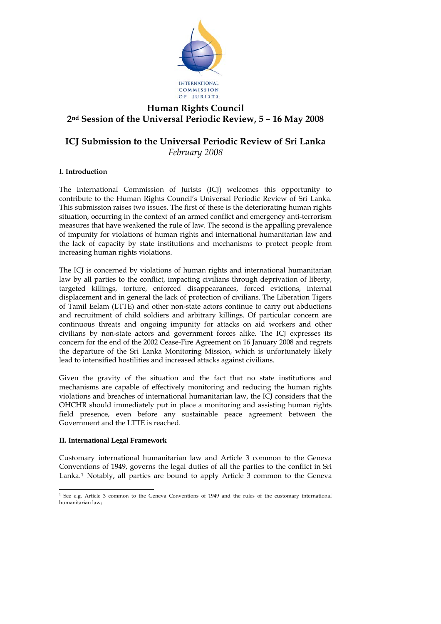

# **Human Rights Council 2nd Session of the Universal Periodic Review, 5 – 16 May 2008**

# **ICJ Submission to the Universal Periodic Review of Sri Lanka**  *February 2008*

# **I. Introduction**

The International Commission of Jurists (ICJ) welcomes this opportunity to contribute to the Human Rights Council's Universal Periodic Review of Sri Lanka. This submission raises two issues. The first of these is the deteriorating human rights situation, occurring in the context of an armed conflict and emergency anti-terrorism measures that have weakened the rule of law. The second is the appalling prevalence of impunity for violations of human rights and international humanitarian law and the lack of capacity by state institutions and mechanisms to protect people from increasing human rights violations.

The ICJ is concerned by violations of human rights and international humanitarian law by all parties to the conflict, impacting civilians through deprivation of liberty, targeted killings, torture, enforced disappearances, forced evictions, internal displacement and in general the lack of protection of civilians. The Liberation Tigers of Tamil Eelam (LTTE) and other non-state actors continue to carry out abductions and recruitment of child soldiers and arbitrary killings. Of particular concern are continuous threats and ongoing impunity for attacks on aid workers and other civilians by non-state actors and government forces alike. The ICJ expresses its concern for the end of the 2002 Cease-Fire Agreement on 16 January 2008 and regrets the departure of the Sri Lanka Monitoring Mission, which is unfortunately likely lead to intensified hostilities and increased attacks against civilians.

Given the gravity of the situation and the fact that no state institutions and mechanisms are capable of effectively monitoring and reducing the human rights violations and breaches of international humanitarian law, the ICJ considers that the OHCHR should immediately put in place a monitoring and assisting human rights field presence, even before any sustainable peace agreement between the Government and the LTTE is reached.

# **II. International Legal Framework**

<u>.</u>

Customary international humanitarian law and Article 3 common to the Geneva Conventions of 1949, governs the legal duties of all the parties to the conflict in Sri Lanka.[1](#page-0-0) Notably, all parties are bound to apply Article 3 common to the Geneva

<span id="page-0-0"></span><sup>&</sup>lt;sup>1</sup> See e.g. Article 3 common to the Geneva Conventions of 1949 and the rules of the customary international humanitarian law;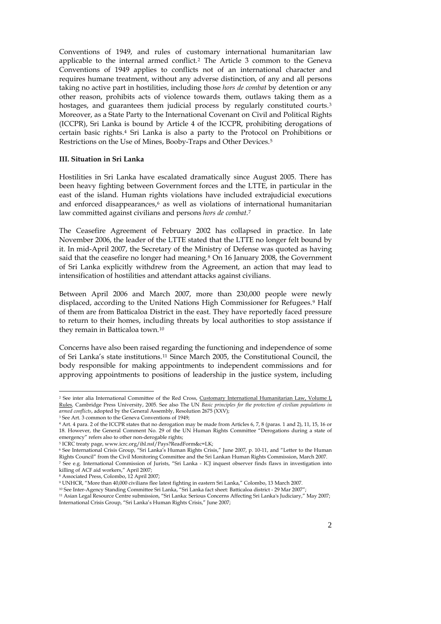Conventions of 1949, and rules of customary international humanitarian law applicable to the internal armed conflict.[2](#page-1-0) The Article 3 common to the Geneva Conventions of 1949 applies to conflicts not of an international character and requires humane treatment, without any adverse distinction, of any and all persons taking no active part in hostilities, including those *hors de combat* by detention or any other reason, prohibits acts of violence towards them, outlaws taking them as a hostages, and guarantees them judicial process by regularly constituted courts.<sup>[3](#page-1-1)</sup> Moreover, as a State Party to the International Covenant on Civil and Political Rights (ICCPR), Sri Lanka is bound by Article 4 of the ICCPR, prohibiting derogations of certain basic rights.[4](#page-1-2) Sri Lanka is also a party to the Protocol on Prohibitions or Restrictions on the Use of Mines, Booby-Traps and Other Devices[.5](#page-1-3)

## **III. Situation in Sri Lanka**

Hostilities in Sri Lanka have escalated dramatically since August 2005. There has been heavy fighting between Government forces and the LTTE, in particular in the east of the island. Human rights violations have included extrajudicial executions and enforced disappearances, $6$  as well as violations of international humanitarian law committed against civilians and persons *hors de combat*.[7](#page-1-5)

The Ceasefire Agreement of February 2002 has collapsed in practice. In late November 2006, the leader of the LTTE stated that the LTTE no longer felt bound by it. In mid-April 2007, the Secretary of the Ministry of Defense was quoted as having said that the ceasefire no longer had meaning.<sup>[8](#page-1-6)</sup> On 16 January 2008, the Government of Sri Lanka explicitly withdrew from the Agreement, an action that may lead to intensification of hostilities and attendant attacks against civilians.

Between April 2006 and March 2007, more than 230,000 people were newly displaced, according to the United Nations High Commissioner for Refugees.[9](#page-1-7) Half of them are from Batticaloa District in the east. They have reportedly faced pressure to return to their homes, including threats by local authorities to stop assistance if they remain in Batticaloa town.[10](#page-1-8)

Concerns have also been raised regarding the functioning and independence of some of Sri Lanka's state institutions.[11](#page-1-9) Since March 2005, the Constitutional Council, the body responsible for making appointments to independent commissions and for approving appointments to positions of leadership in the justice system, including

-

<sup>2</sup> See inter alia International Committee of the Red Cross, Customary International Humanitarian Law, Volume I, Rules*,* Cambridge Press University, 2005. See also The UN *Basic principles for the protection of civilian populations in armed conflicts*, adopted by the General Assembly, Resolution 2675 (XXV); <sup>3</sup> See Art. 3 common to the Geneva Conventions of 1949;

<sup>&</sup>lt;sup>4</sup> Art. 4 para. 2 of the ICCPR states that no derogation may be made from Articles 6, 7, 8 (paras. 1 and 2), 11, 15, 16 or 18. However, the General Comment No. 29 of the UN Human Rights Committee "Derogations during a state of emergency" refers also to other non-derogable rights;

 $^5$  ICRC treaty page, www.icrc.org/ihl.nsf/Pays?ReadForm&c=LK;

<span id="page-1-0"></span><sup>6</sup> See International Crisis Group, "Sri Lanka's Human Rights Crisis," June 2007, p. 10-11, and "Letter to the Human Rights Council" from the Civil Monitoring Committee and the Sri Lankan Human Rights Commission, March 2007. 7 See e.g. International Commission of Jurists, "Sri Lanka - ICJ inquest observer finds flaws in investigation into

<span id="page-1-1"></span>killing of ACF aid workers," April 2007;

<sup>8</sup> Associated Press, Colombo, 12 April 2007;

<span id="page-1-9"></span><span id="page-1-8"></span><span id="page-1-7"></span><span id="page-1-6"></span><span id="page-1-5"></span><span id="page-1-4"></span><span id="page-1-3"></span>

<span id="page-1-2"></span><sup>&</sup>quot;Experiment Conditions flee latest fighting in eastern Sri Lanka," Colombo, 13 March 2007.<br><sup>10</sup> See Inter-Agency Standing Committee Sri Lanka, "Sri Lanka fact sheet: Batticaloa district - 29 Mar 2007";<br><sup>11</sup> Asian Legal Res International Crisis Group, "Sri Lanka's Human Rights Crisis," June 2007;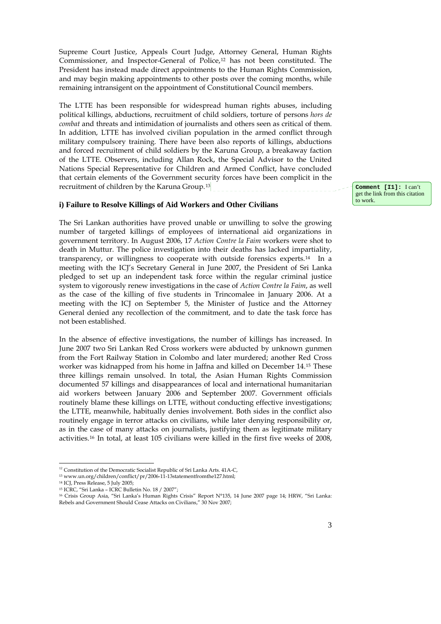Supreme Court Justice, Appeals Court Judge, Attorney General, Human Rights Commissioner, and Inspector-General of Police,[12](#page-2-0) has not been constituted. The President has instead made direct appointments to the Human Rights Commission, and may begin making appointments to other posts over the coming months, while remaining intransigent on the appointment of Constitutional Council members.

The LTTE has been responsible for widespread human rights abuses, including political killings, abductions, recruitment of child soldiers, torture of persons *hors de combat* and threats and intimidation of journalists and others seen as critical of them. In addition, LTTE has involved civilian population in the armed conflict through military compulsory training. There have been also reports of killings, abductions and forced recruitment of child soldiers by the Karuna Group, a breakaway faction of the LTTE. Observers, including Allan Rock, the Special Advisor to the United Nations Special Representative for Children and Armed Conflict, have concluded that certain elements of the Government security forces have been complicit in the recruitment of children by the Karuna Group.[13](#page-2-1)

## **i) Failure to Resolve Killings of Aid Workers and Other Civilians**

The Sri Lankan authorities have proved unable or unwilling to solve the growing number of targeted killings of employees of international aid organizations in government territory. In August 2006, 17 *Action Contre la Faim* workers were shot to death in Muttur. The police investigation into their deaths has lacked impartiality, transparency, or willingness to cooperate with outside forensics experts.[14](#page-2-2) In a meeting with the ICJ's Secretary General in June 2007, the President of Sri Lanka pledged to set up an independent task force within the regular criminal justice system to vigorously renew investigations in the case of *Action Contre la Faim*, as well as the case of the killing of five students in Trincomalee in January 2006. At a meeting with the ICJ on September 5, the Minister of Justice and the Attorney General denied any recollection of the commitment, and to date the task force has not been established.

In the absence of effective investigations, the number of killings has increased. In June 2007 two Sri Lankan Red Cross workers were abducted by unknown gunmen from the Fort Railway Station in Colombo and later murdered; another Red Cross worker was kidnapped from his home in Jaffna and killed on December 14.[15](#page-2-3) These three killings remain unsolved. In total, the Asian Human Rights Commission documented 57 killings and disappearances of local and international humanitarian aid workers between January 2006 and September 2007. Government officials routinely blame these killings on LTTE, without conducting effective investigations; the LTTE, meanwhile, habitually denies involvement. Both sides in the conflict also routinely engage in terror attacks on civilians, while later denying responsibility or, as in the case of many attacks on journalists, justifying them as legitimate military activities.[16](#page-2-4) In total, at least 105 civilians were killed in the first five weeks of 2008,

<u>.</u>

**Comment [I1]:** I can't get the link from this citation to work.

<sup>&</sup>lt;sup>12</sup> Constitution of the Democratic Socialist Republic of Sri Lanka Arts. 41A-C,

<sup>13</sup> www.un.org/children/conflict/pr/2006-11-13statementfromthe127.html;

<sup>14</sup> ICJ, Press Release, 5 July 2005;

<sup>15</sup> ICRC, "Sri Lanka – ICRC Bulletin No. 18 / 2007";

<span id="page-2-4"></span><span id="page-2-3"></span><span id="page-2-2"></span><span id="page-2-1"></span><span id="page-2-0"></span><sup>16</sup> Crisis Group Asia, "Sri Lanka's Human Rights Crisis" Report N°135, 14 June 2007 page 14; HRW, "Sri Lanka: Rebels and Government Should Cease Attacks on Civilians," 30 Nov 2007;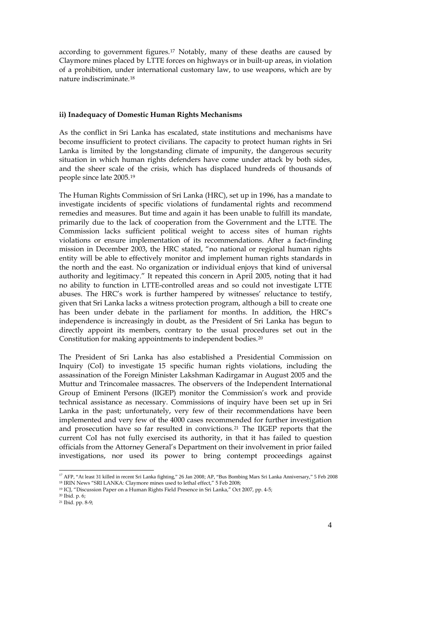according to government figures.[17](#page-3-0) Notably, many of these deaths are caused by Claymore mines placed by LTTE forces on highways or in built-up areas, in violation of a prohibition, under international customary law, to use weapons, which are by nature indiscriminate.[18](#page-3-1)

#### **ii) Inadequacy of Domestic Human Rights Mechanisms**

As the conflict in Sri Lanka has escalated, state institutions and mechanisms have become insufficient to protect civilians. The capacity to protect human rights in Sri Lanka is limited by the longstanding climate of impunity, the dangerous security situation in which human rights defenders have come under attack by both sides, and the sheer scale of the crisis, which has displaced hundreds of thousands of people since late 2005.[19](#page-3-2)

The Human Rights Commission of Sri Lanka (HRC), set up in 1996, has a mandate to investigate incidents of specific violations of fundamental rights and recommend remedies and measures. But time and again it has been unable to fulfill its mandate, primarily due to the lack of cooperation from the Government and the LTTE. The Commission lacks sufficient political weight to access sites of human rights violations or ensure implementation of its recommendations. After a fact-finding mission in December 2003, the HRC stated, "no national or regional human rights entity will be able to effectively monitor and implement human rights standards in the north and the east. No organization or individual enjoys that kind of universal authority and legitimacy." It repeated this concern in April 2005, noting that it had no ability to function in LTTE-controlled areas and so could not investigate LTTE abuses. The HRC's work is further hampered by witnesses' reluctance to testify, given that Sri Lanka lacks a witness protection program, although a bill to create one has been under debate in the parliament for months. In addition, the HRC's independence is increasingly in doubt, as the President of Sri Lanka has begun to directly appoint its members, contrary to the usual procedures set out in the Constitution for making appointments to independent bodies.[20](#page-3-3)

The President of Sri Lanka has also established a Presidential Commission on Inquiry (CoI) to investigate 15 specific human rights violations, including the assassination of the Foreign Minister Lakshman Kadirgamar in August 2005 and the Muttur and Trincomalee massacres. The observers of the Independent International Group of Eminent Persons (IIGEP) monitor the Commission's work and provide technical assistance as necessary. Commissions of inquiry have been set up in Sri Lanka in the past; unfortunately, very few of their recommendations have been implemented and very few of the 4000 cases recommended for further investigation and prosecution have so far resulted in convictions.[21](#page-3-4) The IIGEP reports that the current CoI has not fully exercised its authority, in that it has failed to question officials from the Attorney General's Department on their involvement in prior failed investigations, nor used its power to bring contempt proceedings against

<u>.</u>

<sup>&</sup>lt;sup>17</sup> AFP, "At least 31 killed in recent Sri Lanka fighting," 26 Jan 2008; AP, "Bus Bombing Mars Sri Lanka Anniversary," 5 Feb 2008

<sup>18</sup> IRIN News "SRI LANKA: Claymore mines used to lethal effect," 5 Feb 2008;

<sup>&</sup>lt;sup>19</sup> ICJ, "Discussion Paper on a Human Rights Field Presence in Sri Lanka," Oct 2007, pp. 4-5; <sup>20</sup> Ibid. p. 6;

<span id="page-3-4"></span><span id="page-3-3"></span><span id="page-3-2"></span><span id="page-3-1"></span><span id="page-3-0"></span><sup>21</sup> Ibid. pp. 8-9;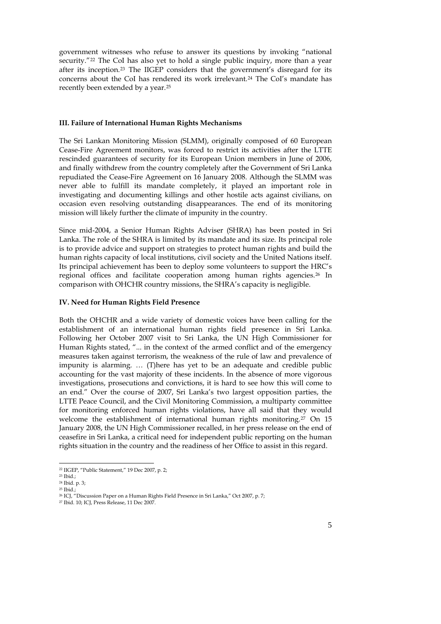government witnesses who refuse to answer its questions by invoking "national security."<sup>[22](#page-4-0)</sup> The CoI has also yet to hold a single public inquiry, more than a year after its inception.[23](#page-4-1) The IIGEP considers that the government's disregard for its concerns about the CoI has rendered its work irrelevant.[24](#page-4-2) The CoI's mandate has recently been extended by a year.[25](#page-4-3)

### **III. Failure of International Human Rights Mechanisms**

The Sri Lankan Monitoring Mission (SLMM), originally composed of 60 European Cease-Fire Agreement monitors, was forced to restrict its activities after the LTTE rescinded guarantees of security for its European Union members in June of 2006, and finally withdrew from the country completely after the Government of Sri Lanka repudiated the Cease-Fire Agreement on 16 January 2008. Although the SLMM was never able to fulfill its mandate completely, it played an important role in investigating and documenting killings and other hostile acts against civilians, on occasion even resolving outstanding disappearances. The end of its monitoring mission will likely further the climate of impunity in the country.

Since mid-2004, a Senior Human Rights Adviser (SHRA) has been posted in Sri Lanka. The role of the SHRA is limited by its mandate and its size. Its principal role is to provide advice and support on strategies to protect human rights and build the human rights capacity of local institutions, civil society and the United Nations itself. Its principal achievement has been to deploy some volunteers to support the HRC's regional offices and facilitate cooperation among human rights agencies.[26](#page-4-4) In comparison with OHCHR country missions, the SHRA's capacity is negligible.

#### **IV. Need for Human Rights Field Presence**

Both the OHCHR and a wide variety of domestic voices have been calling for the establishment of an international human rights field presence in Sri Lanka. Following her October 2007 visit to Sri Lanka, the UN High Commissioner for Human Rights stated, "... in the context of the armed conflict and of the emergency measures taken against terrorism, the weakness of the rule of law and prevalence of impunity is alarming. … (T)here has yet to be an adequate and credible public accounting for the vast majority of these incidents. In the absence of more vigorous investigations, prosecutions and convictions, it is hard to see how this will come to an end." Over the course of 2007, Sri Lanka's two largest opposition parties, the LTTE Peace Council, and the Civil Monitoring Commission, a multiparty committee for monitoring enforced human rights violations, have all said that they would welcome the establishment of international human rights monitoring.<sup>[27](#page-4-5)</sup> On 15 January 2008, the UN High Commissioner recalled, in her press release on the end of ceasefire in Sri Lanka, a critical need for independent public reporting on the human rights situation in the country and the readiness of her Office to assist in this regard.

<u>.</u>

<sup>22</sup> IIGEP, "Public Statement," 19 Dec 2007, p. 2;

<sup>23</sup> Ibid.;

<sup>24</sup> Ibid. p. 3;

<sup>25</sup> Ibid.;

<sup>26</sup> ICJ, "Discussion Paper on a Human Rights Field Presence in Sri Lanka," Oct 2007, p. 7;

<span id="page-4-5"></span><span id="page-4-4"></span><span id="page-4-3"></span><span id="page-4-2"></span><span id="page-4-1"></span><span id="page-4-0"></span><sup>27</sup> Ibid. 10; ICJ, Press Release, 11 Dec 2007.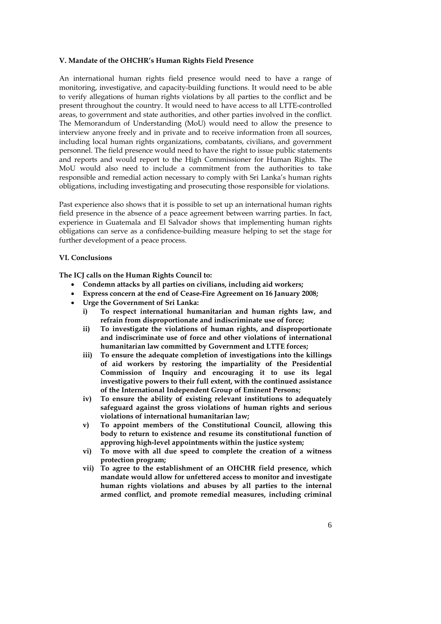#### **V. Mandate of the OHCHR's Human Rights Field Presence**

An international human rights field presence would need to have a range of monitoring, investigative, and capacity-building functions. It would need to be able to verify allegations of human rights violations by all parties to the conflict and be present throughout the country. It would need to have access to all LTTE-controlled areas, to government and state authorities, and other parties involved in the conflict. The Memorandum of Understanding (MoU) would need to allow the presence to interview anyone freely and in private and to receive information from all sources, including local human rights organizations, combatants, civilians, and government personnel. The field presence would need to have the right to issue public statements and reports and would report to the High Commissioner for Human Rights. The MoU would also need to include a commitment from the authorities to take responsible and remedial action necessary to comply with Sri Lanka's human rights obligations, including investigating and prosecuting those responsible for violations.

Past experience also shows that it is possible to set up an international human rights field presence in the absence of a peace agreement between warring parties. In fact, experience in Guatemala and El Salvador shows that implementing human rights obligations can serve as a confidence-building measure helping to set the stage for further development of a peace process.

## **VI. Conclusions**

**The ICJ calls on the Human Rights Council to:** 

- **Condemn attacks by all parties on civilians, including aid workers;**
- **Express concern at the end of Cease-Fire Agreement on 16 January 2008;**
- **Urge the Government of Sri Lanka:** 
	- **i) To respect international humanitarian and human rights law, and refrain from disproportionate and indiscriminate use of force;**
	- **ii) To investigate the violations of human rights, and disproportionate and indiscriminate use of force and other violations of international humanitarian law committed by Government and LTTE forces;**
	- **iii) To ensure the adequate completion of investigations into the killings of aid workers by restoring the impartiality of the Presidential Commission of Inquiry and encouraging it to use its legal investigative powers to their full extent, with the continued assistance of the International Independent Group of Eminent Persons;**
	- **iv) To ensure the ability of existing relevant institutions to adequately safeguard against the gross violations of human rights and serious violations of international humanitarian law;**
	- **v) To appoint members of the Constitutional Council, allowing this body to return to existence and resume its constitutional function of approving high-level appointments within the justice system;**
	- **vi) To move with all due speed to complete the creation of a witness protection program;**
	- **vii) To agree to the establishment of an OHCHR field presence, which mandate would allow for unfettered access to monitor and investigate human rights violations and abuses by all parties to the internal armed conflict, and promote remedial measures, including criminal**